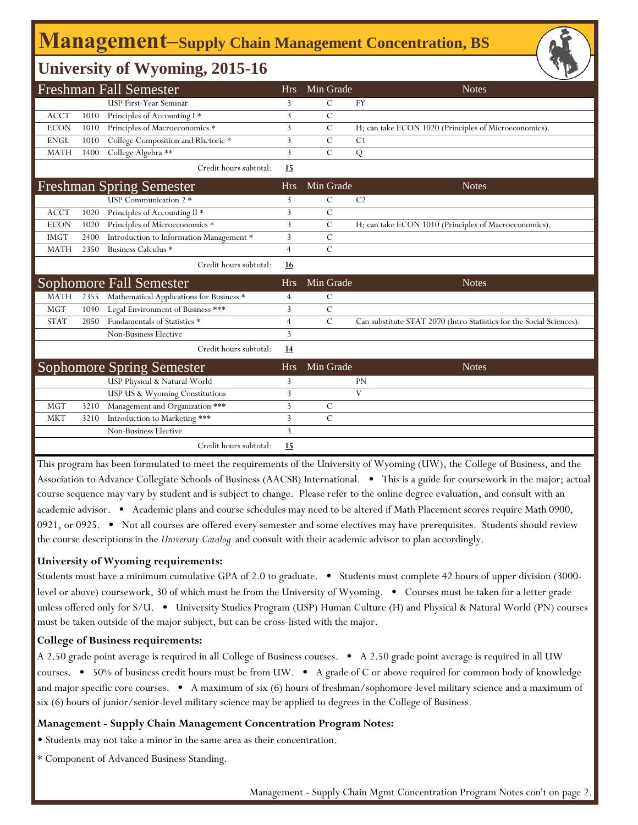## **Management‒Supply Chain Management Concentration, BS**

### **University of Wyoming, 2015-16**

|             |      | <b>Freshman Fall Semester</b>            | <b>Hrs</b>     | Min Grade      | <b>Notes</b>                                                         |
|-------------|------|------------------------------------------|----------------|----------------|----------------------------------------------------------------------|
|             |      | <b>USP First-Year Seminar</b>            | 3              | C              | <b>FY</b>                                                            |
| <b>ACCT</b> | 1010 | Principles of Accounting I*              | 3              | $\mathcal{C}$  |                                                                      |
| <b>ECON</b> | 1010 | Principles of Macroeconomics *           | 3              | $\mathcal{C}$  | H; can take ECON 1020 (Principles of Microeconomics).                |
| <b>ENGL</b> | 1010 | College Composition and Rhetoric *       | 3              | $\mathcal{C}$  | C <sub>1</sub>                                                       |
| <b>MATH</b> | 1400 | College Algebra **                       | 3              | $\mathcal{C}$  | Q                                                                    |
|             |      | Credit hours subtotal:                   | 15             |                |                                                                      |
|             |      | <b>Freshman Spring Semester</b>          | <b>Hrs</b>     | Min Grade      | <b>Notes</b>                                                         |
|             |      | <b>USP</b> Communication 2 *             | 3              | C              | C <sub>2</sub>                                                       |
| <b>ACCT</b> | 1020 | Principles of Accounting II *            | 3              | $\mathcal{C}$  |                                                                      |
| <b>ECON</b> | 1020 | Principles of Microeconomics *           | 3              | $\mathcal{C}$  | H; can take ECON 1010 (Principles of Macroeconomics).                |
| <b>IMGT</b> | 2400 | Introduction to Information Management * | 3              | C              |                                                                      |
| <b>MATH</b> | 2350 | Business Calculus *                      | $\overline{4}$ | $\overline{C}$ |                                                                      |
|             |      | Credit hours subtotal:                   | 16             |                |                                                                      |
|             |      | <b>Sophomore Fall Semester</b>           | <b>Hrs</b>     | Min Grade      | <b>Notes</b>                                                         |
| <b>MATH</b> | 2355 | Mathematical Applications for Business * | 4              | C              |                                                                      |
| <b>MGT</b>  | 1040 | Legal Environment of Business ***        | 3              | $\overline{C}$ |                                                                      |
| <b>STAT</b> | 2050 | Fundamentals of Statistics *             | $\overline{4}$ | $\mathcal{C}$  | Can substitute STAT 2070 (Intro Statistics for the Social Sciences). |
|             |      | <b>Non-Business Elective</b>             | 3              |                |                                                                      |
|             |      | Credit hours subtotal:                   | <u>14</u>      |                |                                                                      |
|             |      | <b>Sophomore Spring Semester</b>         | <b>Hrs</b>     | Min Grade      | <b>Notes</b>                                                         |
|             |      | USP Physical & Natural World             | 3              |                | <b>PN</b>                                                            |
|             |      | USP US & Wyoming Constitutions           | 3              |                | V                                                                    |
| <b>MGT</b>  | 3210 | Management and Organization ***          | 3              | $\mathcal{C}$  |                                                                      |
| <b>MKT</b>  | 3210 | Introduction to Marketing ***            | 3              | $\mathcal{C}$  |                                                                      |
|             |      | <b>Non-Business Elective</b>             | 3              |                |                                                                      |
|             |      | Credit hours subtotal:                   | 15             |                |                                                                      |

This program has been formulated to meet the requirements of the University of Wyoming (UW), the College of Business, and the Association to Advance Collegiate Schools of Business (AACSB) International. • This is a guide for coursework in the major; actual course sequence may vary by student and is subject to change. Please refer to the online degree evaluation, and consult with an academic advisor. • Academic plans and course schedules may need to be altered if Math Placement scores require Math 0900, 0921, or 0925. • Not all courses are offered every semester and some electives may have prerequisites. Students should review the course descriptions in the *University Catalog* and consult with their academic advisor to plan accordingly.

#### **University of Wyoming requirements:**

Students must have a minimum cumulative GPA of 2.0 to graduate. • Students must complete 42 hours of upper division (3000 level or above) coursework, 30 of which must be from the University of Wyoming. • Courses must be taken for a letter grade unless offered only for S/U. • University Studies Program (USP) Human Culture (H) and Physical & Natural World (PN) courses must be taken outside of the major subject, but can be cross-listed with the major.

#### **College of Business requirements:**

A 2.50 grade point average is required in all College of Business courses. • A 2.50 grade point average is required in all UW courses. • 50% of business credit hours must be from UW. • A grade of C or above required for common body of knowledge and major specific core courses. • A maximum of six (6) hours of freshman/sophomore-level military science and a maximum of six (6) hours of junior/senior-level military science may be applied to degrees in the College of Business.

#### **Management - Supply Chain Management Concentration Program Notes:**

• Students may not take a minor in the same area as their concentration.

\* Component of Advanced Business Standing.

Management - Supply Chain Mgmt Concentration Program Notes con't on page 2.